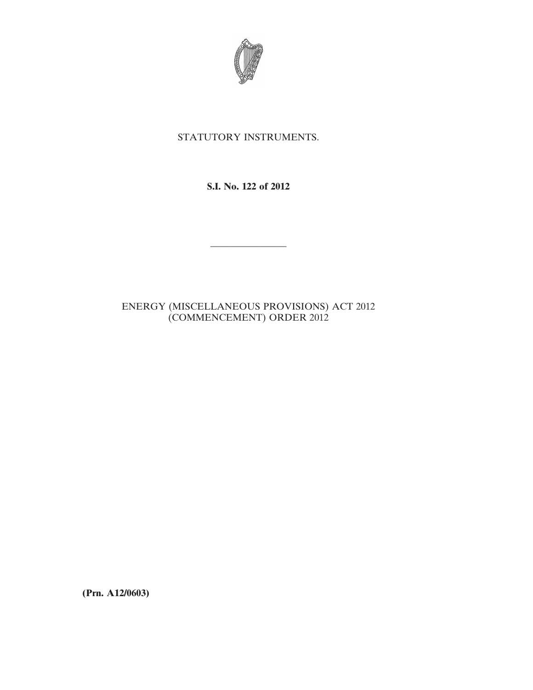

# STATUTORY INSTRUMENTS.

## **S.I. No. 122 of 2012**

————————

## ENERGY (MISCELLANEOUS PROVISIONS) ACT 2012 (COMMENCEMENT) ORDER 2012

**(Prn. A12/0603)**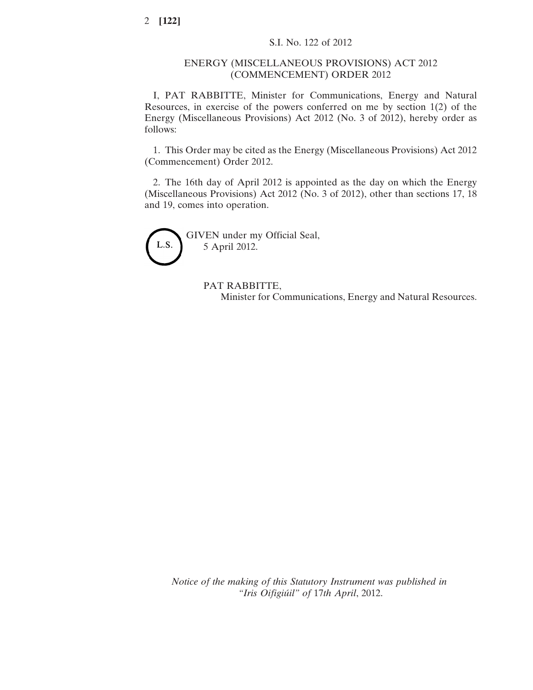#### ENERGY (MISCELLANEOUS PROVISIONS) ACT 2012 (COMMENCEMENT) ORDER 2012

I, PAT RABBITTE, Minister for Communications, Energy and Natural Resources, in exercise of the powers conferred on me by section 1(2) of the Energy (Miscellaneous Provisions) Act 2012 (No. 3 of 2012), hereby order as follows:

1. This Order may be cited as the Energy (Miscellaneous Provisions) Act 2012 (Commencement) Order 2012.

2. The 16th day of April 2012 is appointed as the day on which the Energy (Miscellaneous Provisions) Act 2012 (No. 3 of 2012), other than sections 17, 18 and 19, comes into operation.



PAT RABBITTE, Minister for Communications, Energy and Natural Resources.

*Notice of the making of this Statutory Instrument was published in "Iris Oifigiúil" of* 17*th April*, 2012.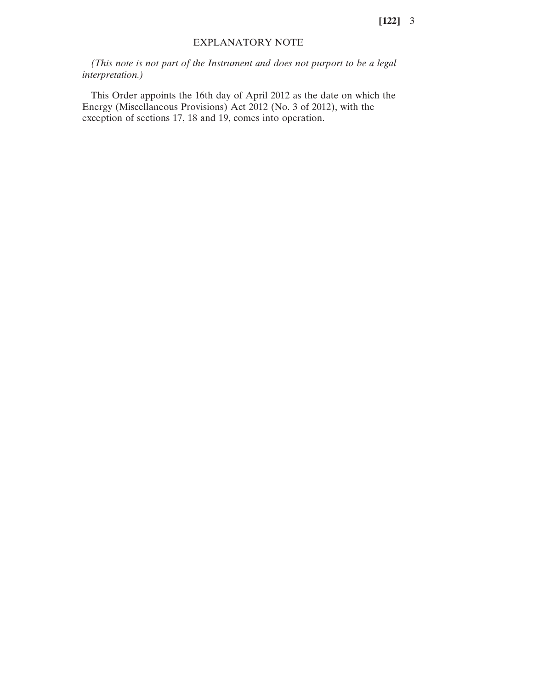**[122]** 3

#### EXPLANATORY NOTE

*(This note is not part of the Instrument and does not purport to be a legal interpretation.)*

This Order appoints the 16th day of April 2012 as the date on which the Energy (Miscellaneous Provisions) Act 2012 (No. 3 of 2012), with the exception of sections 17, 18 and 19, comes into operation.